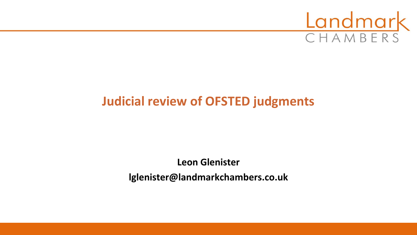

# **Judicial review of OFSTED judgments**

**Leon Glenister lglenister@landmarkchambers.co.uk**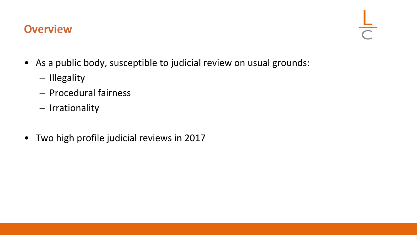## **Overview**

- As a public body, susceptible to judicial review on usual grounds:
	- Illegality
	- Procedural fairness
	- Irrationality
- Two high profile judicial reviews in 2017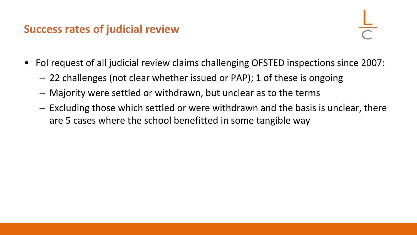## **Success rates of judicial review**

- FoI request of all judicial review claims challenging OFSTED inspections since 2007:
	- 22 challenges (not clear whether issued or PAP); 1 of these is ongoing
	- Majority were settled or withdrawn, but unclear as to the terms
	- Excluding those which settled or were withdrawn and the basis is unclear, there are 5 cases where the school benefitted in some tangible way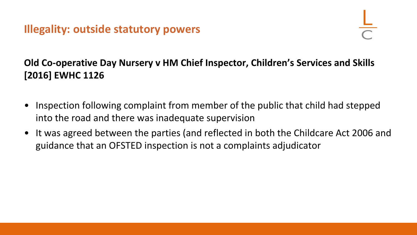**Illegality: outside statutory powers**

## **Old Co-operative Day Nursery v HM Chief Inspector, Children's Services and Skills [2016] EWHC 1126**

- Inspection following complaint from member of the public that child had stepped into the road and there was inadequate supervision
- It was agreed between the parties (and reflected in both the Childcare Act 2006 and guidance that an OFSTED inspection is not a complaints adjudicator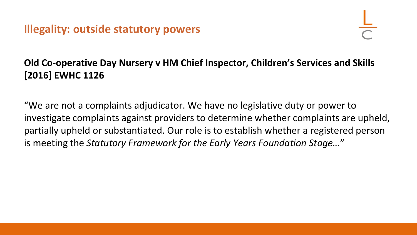**Illegality: outside statutory powers**

## **Old Co-operative Day Nursery v HM Chief Inspector, Children's Services and Skills [2016] EWHC 1126**

"We are not a complaints adjudicator. We have no legislative duty or power to investigate complaints against providers to determine whether complaints are upheld, partially upheld or substantiated. Our role is to establish whether a registered person is meeting the *Statutory Framework for the Early Years Foundation Stage…*"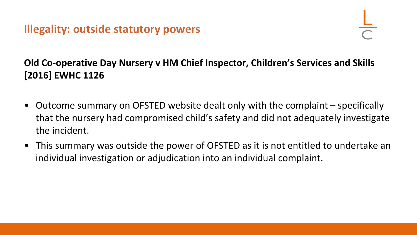**Illegality: outside statutory powers**

## **Old Co-operative Day Nursery v HM Chief Inspector, Children's Services and Skills [2016] EWHC 1126**

- Outcome summary on OFSTED website dealt only with the complaint specifically that the nursery had compromised child's safety and did not adequately investigate the incident.
- This summary was outside the power of OFSTED as it is not entitled to undertake an individual investigation or adjudication into an individual complaint.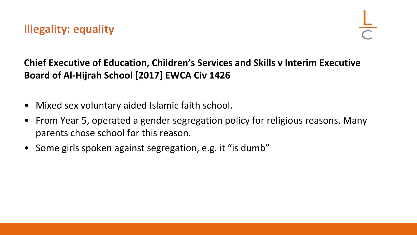- Mixed sex voluntary aided Islamic faith school.
- From Year 5, operated a gender segregation policy for religious reasons. Many parents chose school for this reason.
- Some girls spoken against segregation, e.g. it "is dumb"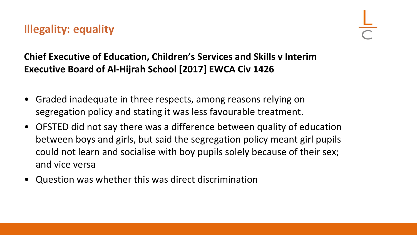**Illegality: equality**

- Graded inadequate in three respects, among reasons relying on segregation policy and stating it was less favourable treatment.
- OFSTED did not say there was a difference between quality of education between boys and girls, but said the segregation policy meant girl pupils could not learn and socialise with boy pupils solely because of their sex; and vice versa
- Question was whether this was direct discrimination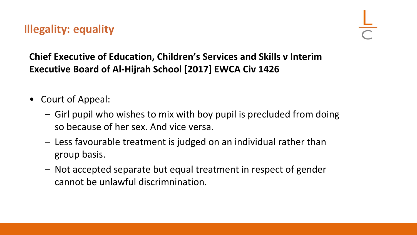**Illegality: equality**

- Court of Appeal:
	- Girl pupil who wishes to mix with boy pupil is precluded from doing so because of her sex. And vice versa.
	- Less favourable treatment is judged on an individual rather than group basis.
	- Not accepted separate but equal treatment in respect of gender cannot be unlawful discrimnination.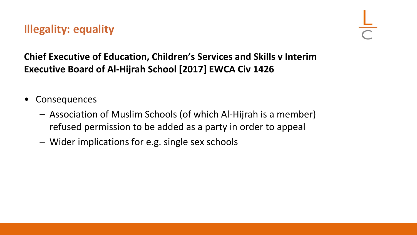**Illegality: equality**

- Consequences
	- Association of Muslim Schools (of which Al-Hijrah is a member) refused permission to be added as a party in order to appeal
	- Wider implications for e.g. single sex schools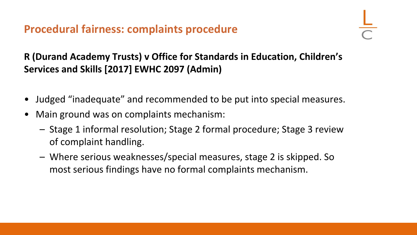**R (Durand Academy Trusts) v Office for Standards in Education, Children's Services and Skills [2017] EWHC 2097 (Admin)**

- Judged "inadequate" and recommended to be put into special measures.
- Main ground was on complaints mechanism:
	- Stage 1 informal resolution; Stage 2 formal procedure; Stage 3 review of complaint handling.
	- Where serious weaknesses/special measures, stage 2 is skipped. So most serious findings have no formal complaints mechanism.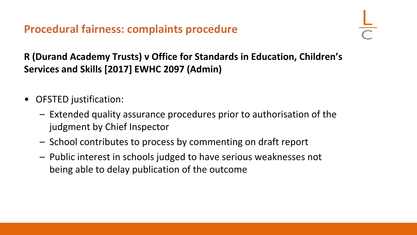**R (Durand Academy Trusts) v Office for Standards in Education, Children's Services and Skills [2017] EWHC 2097 (Admin)**

- OFSTED justification:
	- Extended quality assurance procedures prior to authorisation of the judgment by Chief Inspector
	- School contributes to process by commenting on draft report
	- Public interest in schools judged to have serious weaknesses not being able to delay publication of the outcome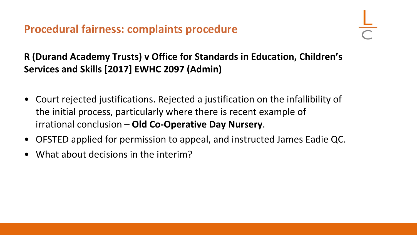**R (Durand Academy Trusts) v Office for Standards in Education, Children's Services and Skills [2017] EWHC 2097 (Admin)**

- Court rejected justifications. Rejected a justification on the infallibility of the initial process, particularly where there is recent example of irrational conclusion – **Old Co-Operative Day Nursery**.
- OFSTED applied for permission to appeal, and instructed James Eadie QC.
- What about decisions in the interim?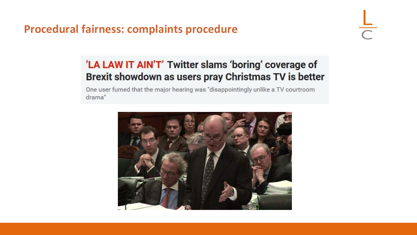## 'LA LAW IT AIN'T' Twitter slams 'boring' coverage of Brexit showdown as users pray Christmas TV is better

One user fumed that the major hearing was "disappointingly unlike a TV courtroom drama"

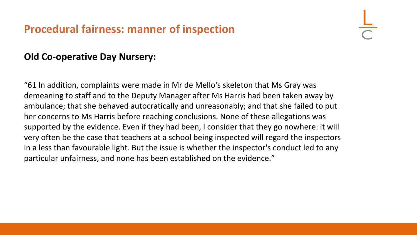## **Procedural fairness: manner of inspection**

#### **Old Co-operative Day Nursery:**

"61 In addition, complaints were made in Mr de Mello's skeleton that Ms Gray was demeaning to staff and to the Deputy Manager after Ms Harris had been taken away by ambulance; that she behaved autocratically and unreasonably; and that she failed to put her concerns to Ms Harris before reaching conclusions. None of these allegations was supported by the evidence. Even if they had been, I consider that they go nowhere: it will very often be the case that teachers at a school being inspected will regard the inspectors in a less than favourable light. But the issue is whether the inspector's conduct led to any particular unfairness, and none has been established on the evidence."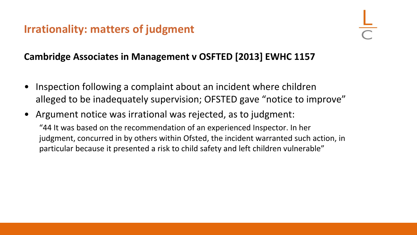## **Irrationality: matters of judgment**

### **Cambridge Associates in Management v OSFTED [2013] EWHC 1157**

- Inspection following a complaint about an incident where children alleged to be inadequately supervision; OFSTED gave "notice to improve"
- Argument notice was irrational was rejected, as to judgment: "44 It was based on the recommendation of an experienced Inspector. In her judgment, concurred in by others within Ofsted, the incident warranted such action, in particular because it presented a risk to child safety and left children vulnerable"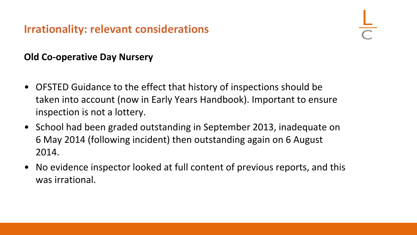## **Irrationality: relevant considerations**

### **Old Co-operative Day Nursery**

- OFSTED Guidance to the effect that history of inspections should be taken into account (now in Early Years Handbook). Important to ensure inspection is not a lottery.
- School had been graded outstanding in September 2013, inadequate on 6 May 2014 (following incident) then outstanding again on 6 August 2014.
- No evidence inspector looked at full content of previous reports, and this was irrational.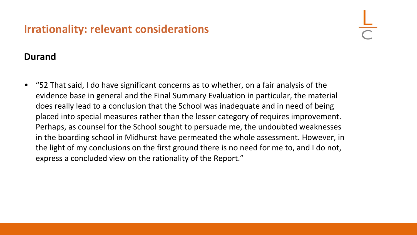## **Irrationality: relevant considerations**

#### **Durand**

• "52 That said, I do have significant concerns as to whether, on a fair analysis of the evidence base in general and the Final Summary Evaluation in particular, the material does really lead to a conclusion that the School was inadequate and in need of being placed into special measures rather than the lesser category of requires improvement. Perhaps, as counsel for the School sought to persuade me, the undoubted weaknesses in the boarding school in Midhurst have permeated the whole assessment. However, in the light of my conclusions on the first ground there is no need for me to, and I do not, express a concluded view on the rationality of the Report."